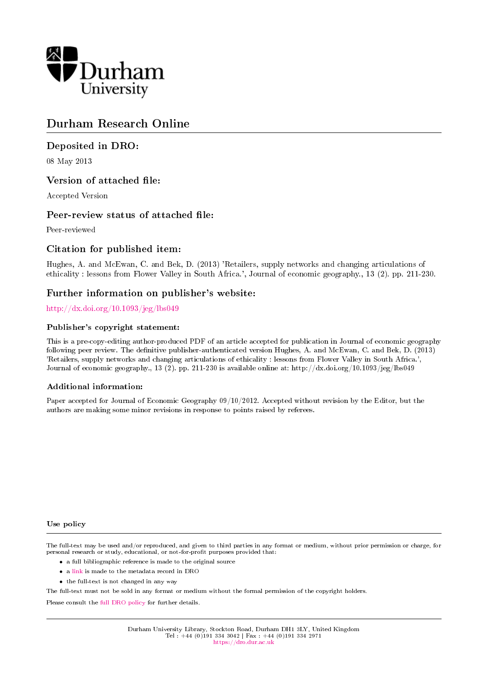

## Durham Research Online

## Deposited in DRO:

08 May 2013

## Version of attached file:

Accepted Version

## Peer-review status of attached file:

Peer-reviewed

## Citation for published item:

Hughes, A. and McEwan, C. and Bek, D. (2013) 'Retailers, supply networks and changing articulations of ethicality : lessons from Flower Valley in South Africa.', Journal of economic geography., 13 (2). pp. 211-230.

## Further information on publisher's website:

<http://dx.doi.org/10.1093/jeg/lbs049>

#### Publisher's copyright statement:

This is a pre-copy-editing author-produced PDF of an article accepted for publication in Journal of economic geography following peer review. The definitive publisher-authenticated version Hughes, A. and McEwan, C. and Bek, D. (2013) 'Retailers, supply networks and changing articulations of ethicality : lessons from Flower Valley in South Africa.', Journal of economic geography., 13 (2). pp. 211-230 is available online at: http://dx.doi.org/10.1093/jeg/lbs049

#### Additional information:

Paper accepted for Journal of Economic Geography 09/10/2012. Accepted without revision by the Editor, but the authors are making some minor revisions in response to points raised by referees.

#### Use policy

The full-text may be used and/or reproduced, and given to third parties in any format or medium, without prior permission or charge, for personal research or study, educational, or not-for-profit purposes provided that:

- a full bibliographic reference is made to the original source
- a [link](http://dro.dur.ac.uk/10781/) is made to the metadata record in DRO
- the full-text is not changed in any way

The full-text must not be sold in any format or medium without the formal permission of the copyright holders.

Please consult the [full DRO policy](https://dro.dur.ac.uk/policies/usepolicy.pdf) for further details.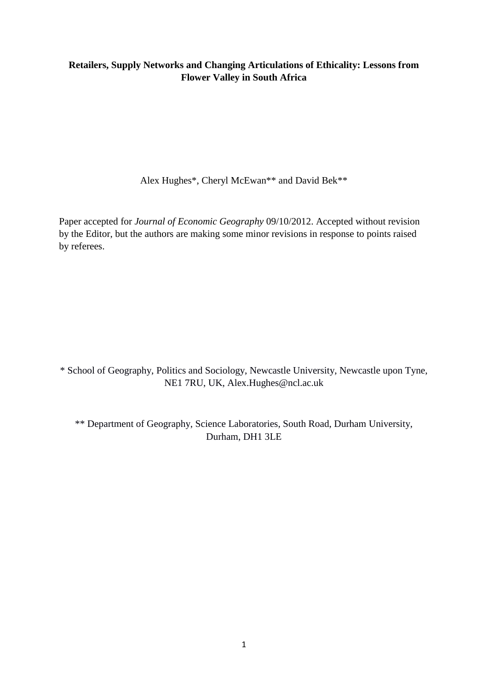## **Retailers, Supply Networks and Changing Articulations of Ethicality: Lessons from Flower Valley in South Africa**

Alex Hughes\*, Cheryl McEwan\*\* and David Bek\*\*

Paper accepted for *Journal of Economic Geography* 09/10/2012. Accepted without revision by the Editor, but the authors are making some minor revisions in response to points raised by referees.

\* School of Geography, Politics and Sociology, Newcastle University, Newcastle upon Tyne, NE1 7RU, UK, Alex.Hughes@ncl.ac.uk

\*\* Department of Geography, Science Laboratories, South Road, Durham University, Durham, DH1 3LE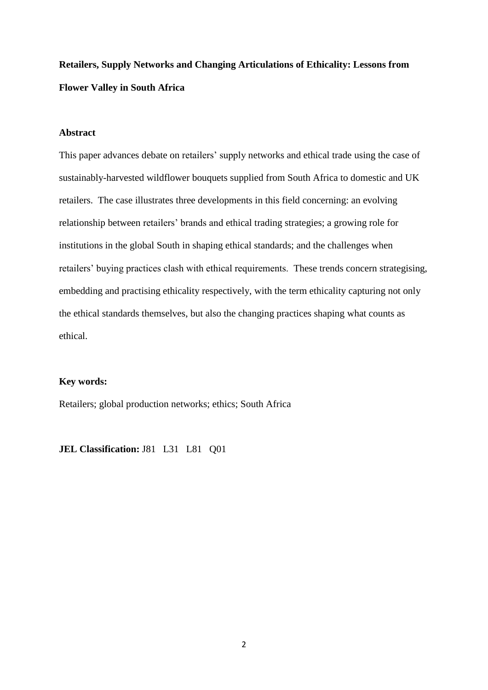## **Retailers, Supply Networks and Changing Articulations of Ethicality: Lessons from Flower Valley in South Africa**

### **Abstract**

This paper advances debate on retailers' supply networks and ethical trade using the case of sustainably-harvested wildflower bouquets supplied from South Africa to domestic and UK retailers. The case illustrates three developments in this field concerning: an evolving relationship between retailers' brands and ethical trading strategies; a growing role for institutions in the global South in shaping ethical standards; and the challenges when retailers' buying practices clash with ethical requirements. These trends concern strategising, embedding and practising ethicality respectively, with the term ethicality capturing not only the ethical standards themselves, but also the changing practices shaping what counts as ethical.

#### **Key words:**

Retailers; global production networks; ethics; South Africa

**JEL Classification:** J81 L31 L81 Q01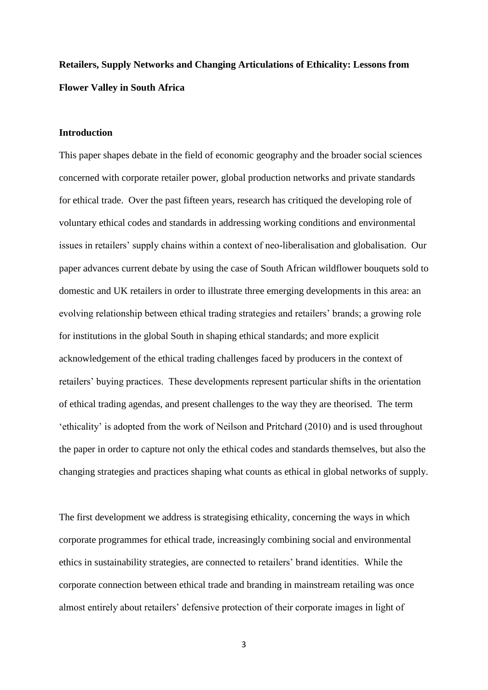## **Retailers, Supply Networks and Changing Articulations of Ethicality: Lessons from Flower Valley in South Africa**

## **Introduction**

This paper shapes debate in the field of economic geography and the broader social sciences concerned with corporate retailer power, global production networks and private standards for ethical trade. Over the past fifteen years, research has critiqued the developing role of voluntary ethical codes and standards in addressing working conditions and environmental issues in retailers' supply chains within a context of neo-liberalisation and globalisation. Our paper advances current debate by using the case of South African wildflower bouquets sold to domestic and UK retailers in order to illustrate three emerging developments in this area: an evolving relationship between ethical trading strategies and retailers' brands; a growing role for institutions in the global South in shaping ethical standards; and more explicit acknowledgement of the ethical trading challenges faced by producers in the context of retailers' buying practices. These developments represent particular shifts in the orientation of ethical trading agendas, and present challenges to the way they are theorised. The term 'ethicality' is adopted from the work of Neilson and Pritchard (2010) and is used throughout the paper in order to capture not only the ethical codes and standards themselves, but also the changing strategies and practices shaping what counts as ethical in global networks of supply.

The first development we address is strategising ethicality, concerning the ways in which corporate programmes for ethical trade, increasingly combining social and environmental ethics in sustainability strategies, are connected to retailers' brand identities. While the corporate connection between ethical trade and branding in mainstream retailing was once almost entirely about retailers' defensive protection of their corporate images in light of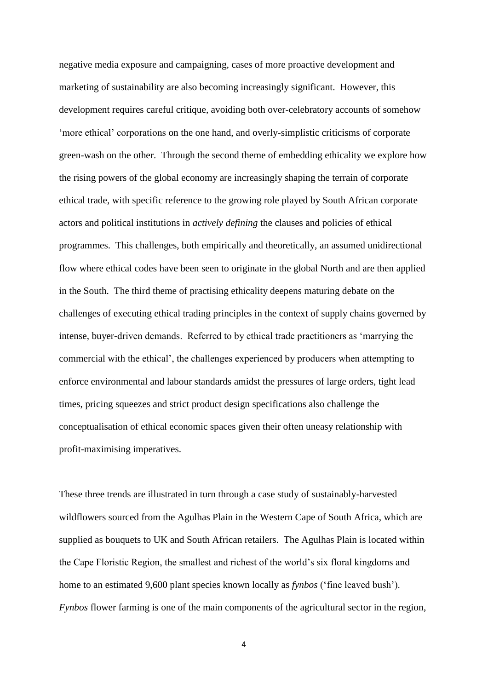negative media exposure and campaigning, cases of more proactive development and marketing of sustainability are also becoming increasingly significant. However, this development requires careful critique, avoiding both over-celebratory accounts of somehow 'more ethical' corporations on the one hand, and overly-simplistic criticisms of corporate green-wash on the other. Through the second theme of embedding ethicality we explore how the rising powers of the global economy are increasingly shaping the terrain of corporate ethical trade, with specific reference to the growing role played by South African corporate actors and political institutions in *actively defining* the clauses and policies of ethical programmes. This challenges, both empirically and theoretically, an assumed unidirectional flow where ethical codes have been seen to originate in the global North and are then applied in the South. The third theme of practising ethicality deepens maturing debate on the challenges of executing ethical trading principles in the context of supply chains governed by intense, buyer-driven demands. Referred to by ethical trade practitioners as 'marrying the commercial with the ethical', the challenges experienced by producers when attempting to enforce environmental and labour standards amidst the pressures of large orders, tight lead times, pricing squeezes and strict product design specifications also challenge the conceptualisation of ethical economic spaces given their often uneasy relationship with profit-maximising imperatives.

These three trends are illustrated in turn through a case study of sustainably-harvested wildflowers sourced from the Agulhas Plain in the Western Cape of South Africa, which are supplied as bouquets to UK and South African retailers. The Agulhas Plain is located within the Cape Floristic Region, the smallest and richest of the world's six floral kingdoms and home to an estimated 9,600 plant species known locally as *fynbos* ('fine leaved bush'). *Fynbos* flower farming is one of the main components of the agricultural sector in the region,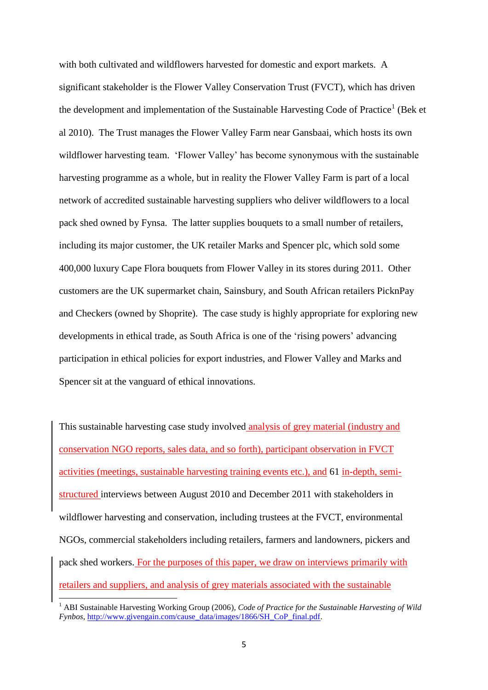with both cultivated and wildflowers harvested for domestic and export markets. A significant stakeholder is the Flower Valley Conservation Trust (FVCT), which has driven the development and implementation of the Sustainable Harvesting Code of Practice<sup>1</sup> (Bek et al 2010). The Trust manages the Flower Valley Farm near Gansbaai, which hosts its own wildflower harvesting team. 'Flower Valley' has become synonymous with the sustainable harvesting programme as a whole, but in reality the Flower Valley Farm is part of a local network of accredited sustainable harvesting suppliers who deliver wildflowers to a local pack shed owned by Fynsa. The latter supplies bouquets to a small number of retailers, including its major customer, the UK retailer Marks and Spencer plc, which sold some 400,000 luxury Cape Flora bouquets from Flower Valley in its stores during 2011. Other customers are the UK supermarket chain, Sainsbury, and South African retailers PicknPay and Checkers (owned by Shoprite). The case study is highly appropriate for exploring new developments in ethical trade, as South Africa is one of the 'rising powers' advancing participation in ethical policies for export industries, and Flower Valley and Marks and Spencer sit at the vanguard of ethical innovations.

This sustainable harvesting case study involved analysis of grey material (industry and conservation NGO reports, sales data, and so forth), participant observation in FVCT activities (meetings, sustainable harvesting training events etc.), and 61 in-depth, semistructured interviews between August 2010 and December 2011 with stakeholders in wildflower harvesting and conservation, including trustees at the FVCT, environmental NGOs, commercial stakeholders including retailers, farmers and landowners, pickers and pack shed workers. For the purposes of this paper, we draw on interviews primarily with retailers and suppliers, and analysis of grey materials associated with the sustainable

<sup>1</sup> ABI Sustainable Harvesting Working Group (2006)*, Code of Practice for the Sustainable Harvesting of Wild Fynbos*, [http://www.givengain.com/cause\\_data/images/1866/SH\\_CoP\\_final.pdf.](http://www.givengain.com/cause_data/images/1866/SH_CoP_final.pdf)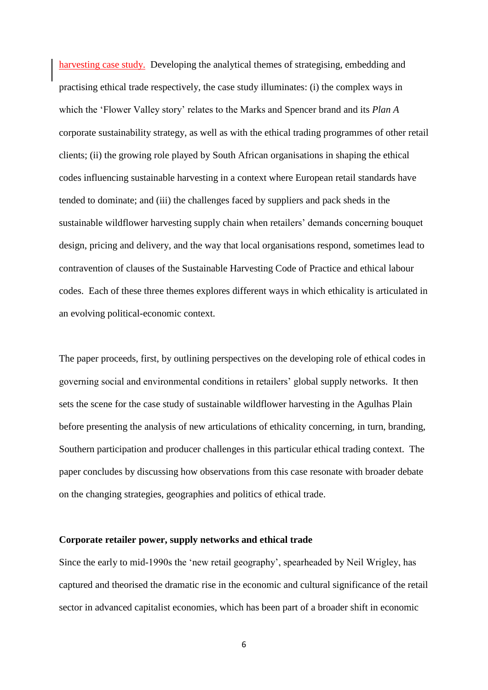harvesting case study. Developing the analytical themes of strategising, embedding and practising ethical trade respectively, the case study illuminates: (i) the complex ways in which the 'Flower Valley story' relates to the Marks and Spencer brand and its *Plan A* corporate sustainability strategy, as well as with the ethical trading programmes of other retail clients; (ii) the growing role played by South African organisations in shaping the ethical codes influencing sustainable harvesting in a context where European retail standards have tended to dominate; and (iii) the challenges faced by suppliers and pack sheds in the sustainable wildflower harvesting supply chain when retailers' demands concerning bouquet design, pricing and delivery, and the way that local organisations respond, sometimes lead to contravention of clauses of the Sustainable Harvesting Code of Practice and ethical labour codes. Each of these three themes explores different ways in which ethicality is articulated in an evolving political-economic context.

The paper proceeds, first, by outlining perspectives on the developing role of ethical codes in governing social and environmental conditions in retailers' global supply networks. It then sets the scene for the case study of sustainable wildflower harvesting in the Agulhas Plain before presenting the analysis of new articulations of ethicality concerning, in turn, branding, Southern participation and producer challenges in this particular ethical trading context. The paper concludes by discussing how observations from this case resonate with broader debate on the changing strategies, geographies and politics of ethical trade.

#### **Corporate retailer power, supply networks and ethical trade**

Since the early to mid-1990s the 'new retail geography', spearheaded by Neil Wrigley, has captured and theorised the dramatic rise in the economic and cultural significance of the retail sector in advanced capitalist economies, which has been part of a broader shift in economic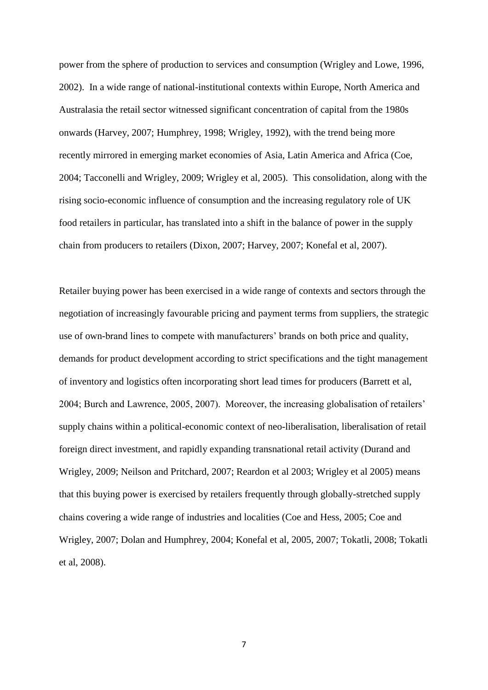power from the sphere of production to services and consumption (Wrigley and Lowe, 1996, 2002). In a wide range of national-institutional contexts within Europe, North America and Australasia the retail sector witnessed significant concentration of capital from the 1980s onwards (Harvey, 2007; Humphrey, 1998; Wrigley, 1992), with the trend being more recently mirrored in emerging market economies of Asia, Latin America and Africa (Coe, 2004; Tacconelli and Wrigley, 2009; Wrigley et al, 2005). This consolidation, along with the rising socio-economic influence of consumption and the increasing regulatory role of UK food retailers in particular, has translated into a shift in the balance of power in the supply chain from producers to retailers (Dixon, 2007; Harvey, 2007; Konefal et al, 2007).

Retailer buying power has been exercised in a wide range of contexts and sectors through the negotiation of increasingly favourable pricing and payment terms from suppliers, the strategic use of own-brand lines to compete with manufacturers' brands on both price and quality, demands for product development according to strict specifications and the tight management of inventory and logistics often incorporating short lead times for producers (Barrett et al, 2004; Burch and Lawrence, 2005, 2007). Moreover, the increasing globalisation of retailers' supply chains within a political-economic context of neo-liberalisation, liberalisation of retail foreign direct investment, and rapidly expanding transnational retail activity (Durand and Wrigley, 2009; Neilson and Pritchard, 2007; Reardon et al 2003; Wrigley et al 2005) means that this buying power is exercised by retailers frequently through globally-stretched supply chains covering a wide range of industries and localities (Coe and Hess, 2005; Coe and Wrigley, 2007; Dolan and Humphrey, 2004; Konefal et al, 2005, 2007; Tokatli, 2008; Tokatli et al, 2008).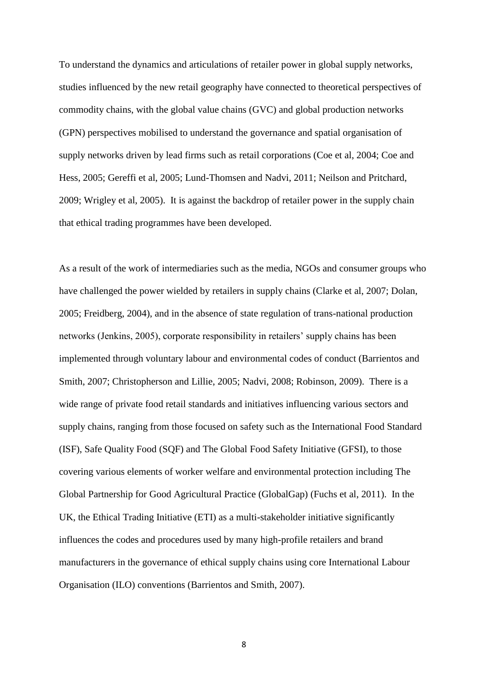To understand the dynamics and articulations of retailer power in global supply networks, studies influenced by the new retail geography have connected to theoretical perspectives of commodity chains, with the global value chains (GVC) and global production networks (GPN) perspectives mobilised to understand the governance and spatial organisation of supply networks driven by lead firms such as retail corporations (Coe et al, 2004; Coe and Hess, 2005; Gereffi et al, 2005; Lund-Thomsen and Nadvi, 2011; Neilson and Pritchard, 2009; Wrigley et al, 2005). It is against the backdrop of retailer power in the supply chain that ethical trading programmes have been developed.

As a result of the work of intermediaries such as the media, NGOs and consumer groups who have challenged the power wielded by retailers in supply chains (Clarke et al, 2007; Dolan, 2005; Freidberg, 2004), and in the absence of state regulation of trans-national production networks (Jenkins, 2005), corporate responsibility in retailers' supply chains has been implemented through voluntary labour and environmental codes of conduct (Barrientos and Smith, 2007; Christopherson and Lillie, 2005; Nadvi, 2008; Robinson, 2009). There is a wide range of private food retail standards and initiatives influencing various sectors and supply chains, ranging from those focused on safety such as the International Food Standard (ISF), Safe Quality Food (SQF) and The Global Food Safety Initiative (GFSI), to those covering various elements of worker welfare and environmental protection including The Global Partnership for Good Agricultural Practice (GlobalGap) (Fuchs et al, 2011). In the UK, the Ethical Trading Initiative (ETI) as a multi-stakeholder initiative significantly influences the codes and procedures used by many high-profile retailers and brand manufacturers in the governance of ethical supply chains using core International Labour Organisation (ILO) conventions (Barrientos and Smith, 2007).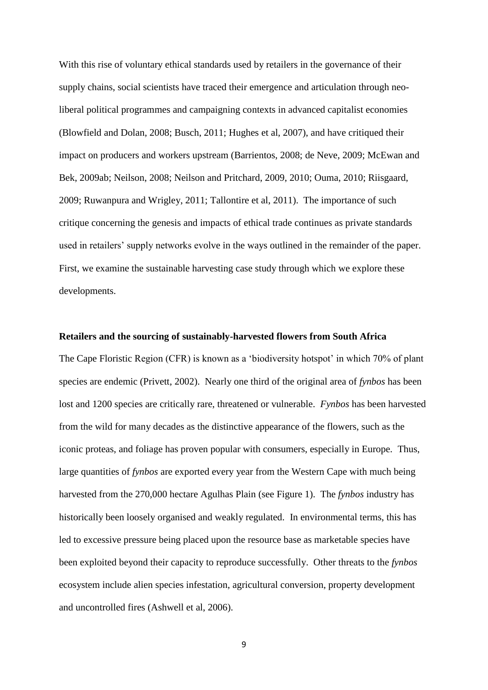With this rise of voluntary ethical standards used by retailers in the governance of their supply chains, social scientists have traced their emergence and articulation through neoliberal political programmes and campaigning contexts in advanced capitalist economies (Blowfield and Dolan, 2008; Busch, 2011; Hughes et al, 2007), and have critiqued their impact on producers and workers upstream (Barrientos, 2008; de Neve, 2009; McEwan and Bek, 2009ab; Neilson, 2008; Neilson and Pritchard, 2009, 2010; Ouma, 2010; Riisgaard, 2009; Ruwanpura and Wrigley, 2011; Tallontire et al, 2011). The importance of such critique concerning the genesis and impacts of ethical trade continues as private standards used in retailers' supply networks evolve in the ways outlined in the remainder of the paper. First, we examine the sustainable harvesting case study through which we explore these developments.

### **Retailers and the sourcing of sustainably-harvested flowers from South Africa**

The Cape Floristic Region (CFR) is known as a 'biodiversity hotspot' in which 70% of plant species are endemic (Privett, 2002). Nearly one third of the original area of *fynbos* has been lost and 1200 species are critically rare, threatened or vulnerable. *Fynbos* has been harvested from the wild for many decades as the distinctive appearance of the flowers, such as the iconic proteas, and foliage has proven popular with consumers, especially in Europe. Thus, large quantities of *fynbos* are exported every year from the Western Cape with much being harvested from the 270,000 hectare Agulhas Plain (see Figure 1). The *fynbos* industry has historically been loosely organised and weakly regulated. In environmental terms, this has led to excessive pressure being placed upon the resource base as marketable species have been exploited beyond their capacity to reproduce successfully. Other threats to the *fynbos* ecosystem include alien species infestation, agricultural conversion, property development and uncontrolled fires (Ashwell et al, 2006).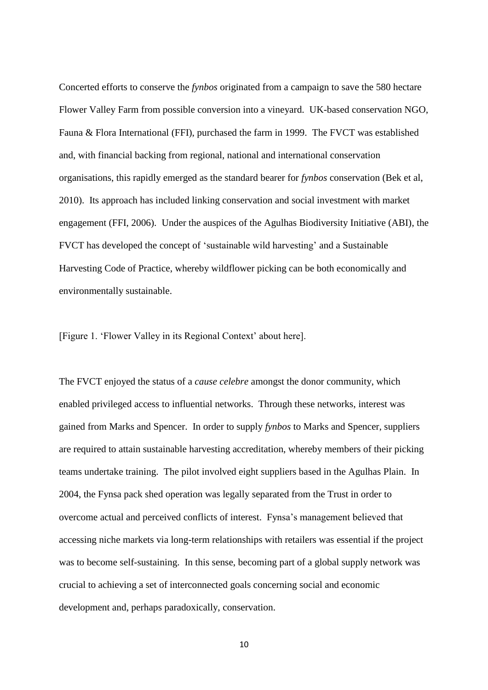Concerted efforts to conserve the *fynbos* originated from a campaign to save the 580 hectare Flower Valley Farm from possible conversion into a vineyard. UK-based conservation NGO, Fauna & Flora International (FFI), purchased the farm in 1999. The FVCT was established and, with financial backing from regional, national and international conservation organisations, this rapidly emerged as the standard bearer for *fynbos* conservation (Bek et al, 2010). Its approach has included linking conservation and social investment with market engagement (FFI, 2006). Under the auspices of the Agulhas Biodiversity Initiative (ABI), the FVCT has developed the concept of 'sustainable wild harvesting' and a Sustainable Harvesting Code of Practice, whereby wildflower picking can be both economically and environmentally sustainable.

[Figure 1. 'Flower Valley in its Regional Context' about here].

The FVCT enjoyed the status of a *cause celebre* amongst the donor community, which enabled privileged access to influential networks. Through these networks, interest was gained from Marks and Spencer. In order to supply *fynbos* to Marks and Spencer, suppliers are required to attain sustainable harvesting accreditation, whereby members of their picking teams undertake training. The pilot involved eight suppliers based in the Agulhas Plain. In 2004, the Fynsa pack shed operation was legally separated from the Trust in order to overcome actual and perceived conflicts of interest. Fynsa's management believed that accessing niche markets via long-term relationships with retailers was essential if the project was to become self-sustaining. In this sense, becoming part of a global supply network was crucial to achieving a set of interconnected goals concerning social and economic development and, perhaps paradoxically, conservation.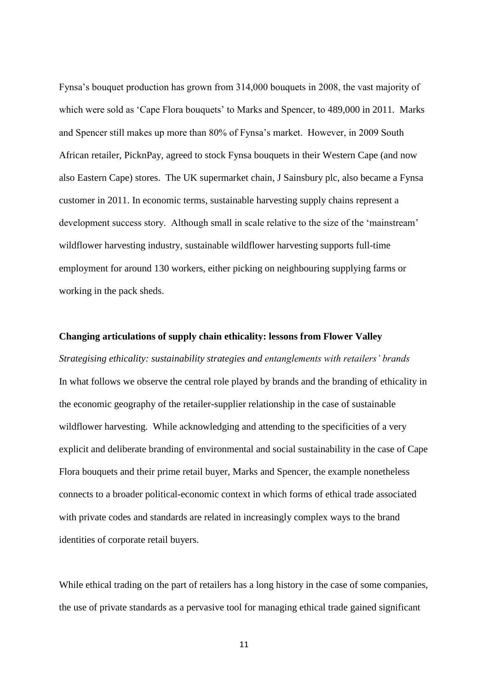Fynsa's bouquet production has grown from 314,000 bouquets in 2008, the vast majority of which were sold as 'Cape Flora bouquets' to Marks and Spencer, to 489,000 in 2011. Marks and Spencer still makes up more than 80% of Fynsa's market. However, in 2009 South African retailer, PicknPay, agreed to stock Fynsa bouquets in their Western Cape (and now also Eastern Cape) stores. The UK supermarket chain, J Sainsbury plc, also became a Fynsa customer in 2011. In economic terms, sustainable harvesting supply chains represent a development success story. Although small in scale relative to the size of the 'mainstream' wildflower harvesting industry, sustainable wildflower harvesting supports full-time employment for around 130 workers, either picking on neighbouring supplying farms or working in the pack sheds.

#### **Changing articulations of supply chain ethicality: lessons from Flower Valley**

*Strategising ethicality: sustainability strategies and entanglements with retailers' brands* In what follows we observe the central role played by brands and the branding of ethicality in the economic geography of the retailer-supplier relationship in the case of sustainable wildflower harvesting. While acknowledging and attending to the specificities of a very explicit and deliberate branding of environmental and social sustainability in the case of Cape Flora bouquets and their prime retail buyer, Marks and Spencer, the example nonetheless connects to a broader political-economic context in which forms of ethical trade associated with private codes and standards are related in increasingly complex ways to the brand identities of corporate retail buyers.

While ethical trading on the part of retailers has a long history in the case of some companies, the use of private standards as a pervasive tool for managing ethical trade gained significant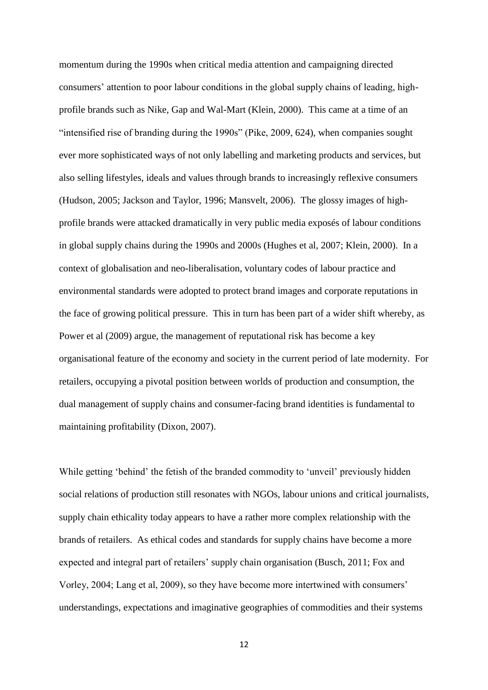momentum during the 1990s when critical media attention and campaigning directed consumers' attention to poor labour conditions in the global supply chains of leading, highprofile brands such as Nike, Gap and Wal-Mart (Klein, 2000). This came at a time of an "intensified rise of branding during the 1990s" (Pike, 2009, 624), when companies sought ever more sophisticated ways of not only labelling and marketing products and services, but also selling lifestyles, ideals and values through brands to increasingly reflexive consumers (Hudson, 2005; Jackson and Taylor, 1996; Mansvelt, 2006). The glossy images of highprofile brands were attacked dramatically in very public media exposés of labour conditions in global supply chains during the 1990s and 2000s (Hughes et al, 2007; Klein, 2000). In a context of globalisation and neo-liberalisation, voluntary codes of labour practice and environmental standards were adopted to protect brand images and corporate reputations in the face of growing political pressure. This in turn has been part of a wider shift whereby, as Power et al (2009) argue, the management of reputational risk has become a key organisational feature of the economy and society in the current period of late modernity. For retailers, occupying a pivotal position between worlds of production and consumption, the dual management of supply chains and consumer-facing brand identities is fundamental to maintaining profitability (Dixon, 2007).

While getting 'behind' the fetish of the branded commodity to 'unveil' previously hidden social relations of production still resonates with NGOs, labour unions and critical journalists, supply chain ethicality today appears to have a rather more complex relationship with the brands of retailers. As ethical codes and standards for supply chains have become a more expected and integral part of retailers' supply chain organisation (Busch, 2011; Fox and Vorley, 2004; Lang et al, 2009), so they have become more intertwined with consumers' understandings, expectations and imaginative geographies of commodities and their systems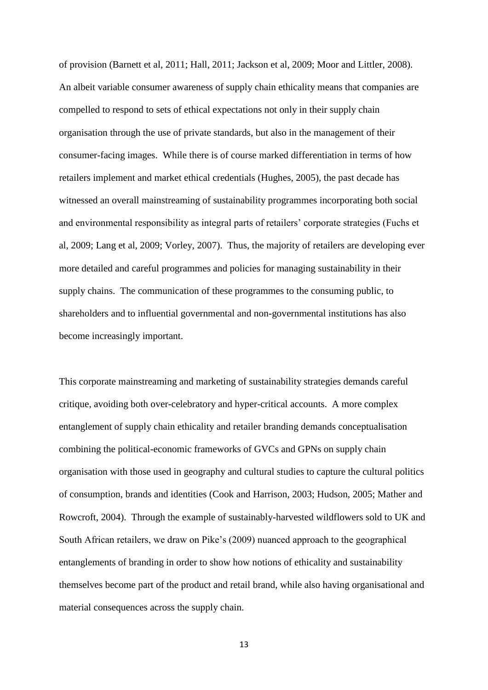of provision (Barnett et al, 2011; Hall, 2011; Jackson et al, 2009; Moor and Littler, 2008). An albeit variable consumer awareness of supply chain ethicality means that companies are compelled to respond to sets of ethical expectations not only in their supply chain organisation through the use of private standards, but also in the management of their consumer-facing images. While there is of course marked differentiation in terms of how retailers implement and market ethical credentials (Hughes, 2005), the past decade has witnessed an overall mainstreaming of sustainability programmes incorporating both social and environmental responsibility as integral parts of retailers' corporate strategies (Fuchs et al, 2009; Lang et al, 2009; Vorley, 2007). Thus, the majority of retailers are developing ever more detailed and careful programmes and policies for managing sustainability in their supply chains. The communication of these programmes to the consuming public, to shareholders and to influential governmental and non-governmental institutions has also become increasingly important.

This corporate mainstreaming and marketing of sustainability strategies demands careful critique, avoiding both over-celebratory and hyper-critical accounts. A more complex entanglement of supply chain ethicality and retailer branding demands conceptualisation combining the political-economic frameworks of GVCs and GPNs on supply chain organisation with those used in geography and cultural studies to capture the cultural politics of consumption, brands and identities (Cook and Harrison, 2003; Hudson, 2005; Mather and Rowcroft, 2004). Through the example of sustainably-harvested wildflowers sold to UK and South African retailers, we draw on Pike's (2009) nuanced approach to the geographical entanglements of branding in order to show how notions of ethicality and sustainability themselves become part of the product and retail brand, while also having organisational and material consequences across the supply chain.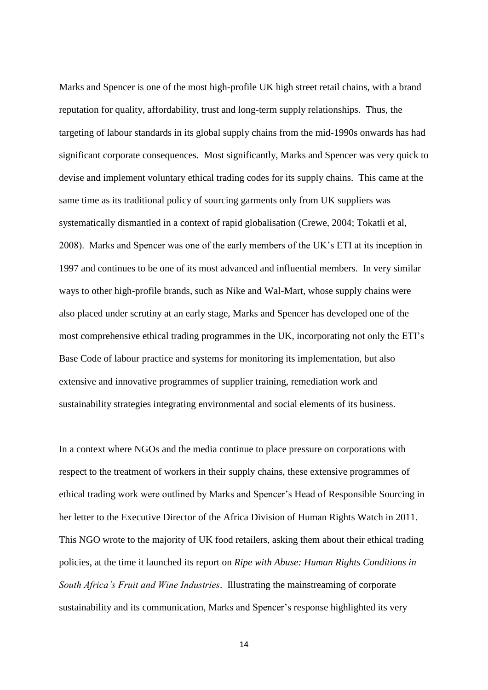Marks and Spencer is one of the most high-profile UK high street retail chains, with a brand reputation for quality, affordability, trust and long-term supply relationships. Thus, the targeting of labour standards in its global supply chains from the mid-1990s onwards has had significant corporate consequences. Most significantly, Marks and Spencer was very quick to devise and implement voluntary ethical trading codes for its supply chains. This came at the same time as its traditional policy of sourcing garments only from UK suppliers was systematically dismantled in a context of rapid globalisation (Crewe, 2004; Tokatli et al, 2008). Marks and Spencer was one of the early members of the UK's ETI at its inception in 1997 and continues to be one of its most advanced and influential members. In very similar ways to other high-profile brands, such as Nike and Wal-Mart, whose supply chains were also placed under scrutiny at an early stage, Marks and Spencer has developed one of the most comprehensive ethical trading programmes in the UK, incorporating not only the ETI's Base Code of labour practice and systems for monitoring its implementation, but also extensive and innovative programmes of supplier training, remediation work and sustainability strategies integrating environmental and social elements of its business.

In a context where NGOs and the media continue to place pressure on corporations with respect to the treatment of workers in their supply chains, these extensive programmes of ethical trading work were outlined by Marks and Spencer's Head of Responsible Sourcing in her letter to the Executive Director of the Africa Division of Human Rights Watch in 2011. This NGO wrote to the majority of UK food retailers, asking them about their ethical trading policies, at the time it launched its report on *Ripe with Abuse: Human Rights Conditions in South Africa's Fruit and Wine Industries*. Illustrating the mainstreaming of corporate sustainability and its communication, Marks and Spencer's response highlighted its very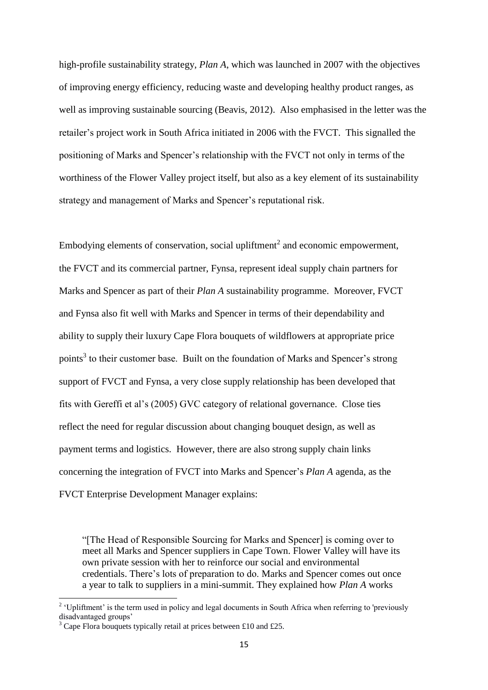high-profile sustainability strategy, *Plan A*, which was launched in 2007 with the objectives of improving energy efficiency, reducing waste and developing healthy product ranges, as well as improving sustainable sourcing (Beavis, 2012). Also emphasised in the letter was the retailer's project work in South Africa initiated in 2006 with the FVCT. This signalled the positioning of Marks and Spencer's relationship with the FVCT not only in terms of the worthiness of the Flower Valley project itself, but also as a key element of its sustainability strategy and management of Marks and Spencer's reputational risk.

Embodying elements of conservation, social upliftment<sup>2</sup> and economic empowerment, the FVCT and its commercial partner, Fynsa, represent ideal supply chain partners for Marks and Spencer as part of their *Plan A* sustainability programme. Moreover, FVCT and Fynsa also fit well with Marks and Spencer in terms of their dependability and ability to supply their luxury Cape Flora bouquets of wildflowers at appropriate price points<sup>3</sup> to their customer base. Built on the foundation of Marks and Spencer's strong support of FVCT and Fynsa, a very close supply relationship has been developed that fits with Gereffi et al's (2005) GVC category of relational governance. Close ties reflect the need for regular discussion about changing bouquet design, as well as payment terms and logistics. However, there are also strong supply chain links concerning the integration of FVCT into Marks and Spencer's *Plan A* agenda, as the FVCT Enterprise Development Manager explains:

"[The Head of Responsible Sourcing for Marks and Spencer] is coming over to meet all Marks and Spencer suppliers in Cape Town. Flower Valley will have its own private session with her to reinforce our social and environmental credentials. There's lots of preparation to do. Marks and Spencer comes out once a year to talk to suppliers in a mini-summit. They explained how *Plan A* works

<sup>&</sup>lt;sup>2</sup> 'Upliftment' is the term used in policy and legal documents in South Africa when referring to 'previously disadvantaged groups'

<sup>&</sup>lt;sup>3</sup> Cape Flora bouquets typically retail at prices between £10 and £25.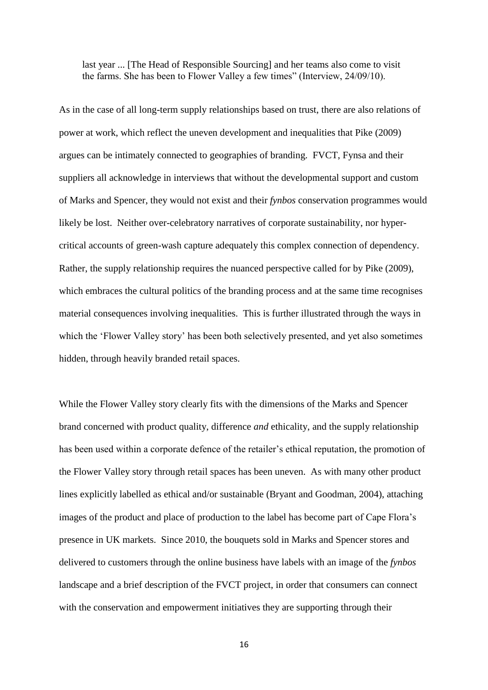last year ... [The Head of Responsible Sourcing] and her teams also come to visit the farms. She has been to Flower Valley a few times" (Interview, 24/09/10).

As in the case of all long-term supply relationships based on trust, there are also relations of power at work, which reflect the uneven development and inequalities that Pike (2009) argues can be intimately connected to geographies of branding. FVCT, Fynsa and their suppliers all acknowledge in interviews that without the developmental support and custom of Marks and Spencer, they would not exist and their *fynbos* conservation programmes would likely be lost. Neither over-celebratory narratives of corporate sustainability, nor hypercritical accounts of green-wash capture adequately this complex connection of dependency. Rather, the supply relationship requires the nuanced perspective called for by Pike (2009), which embraces the cultural politics of the branding process and at the same time recognises material consequences involving inequalities. This is further illustrated through the ways in which the 'Flower Valley story' has been both selectively presented, and yet also sometimes hidden, through heavily branded retail spaces.

While the Flower Valley story clearly fits with the dimensions of the Marks and Spencer brand concerned with product quality, difference *and* ethicality, and the supply relationship has been used within a corporate defence of the retailer's ethical reputation, the promotion of the Flower Valley story through retail spaces has been uneven. As with many other product lines explicitly labelled as ethical and/or sustainable (Bryant and Goodman, 2004), attaching images of the product and place of production to the label has become part of Cape Flora's presence in UK markets. Since 2010, the bouquets sold in Marks and Spencer stores and delivered to customers through the online business have labels with an image of the *fynbos*  landscape and a brief description of the FVCT project, in order that consumers can connect with the conservation and empowerment initiatives they are supporting through their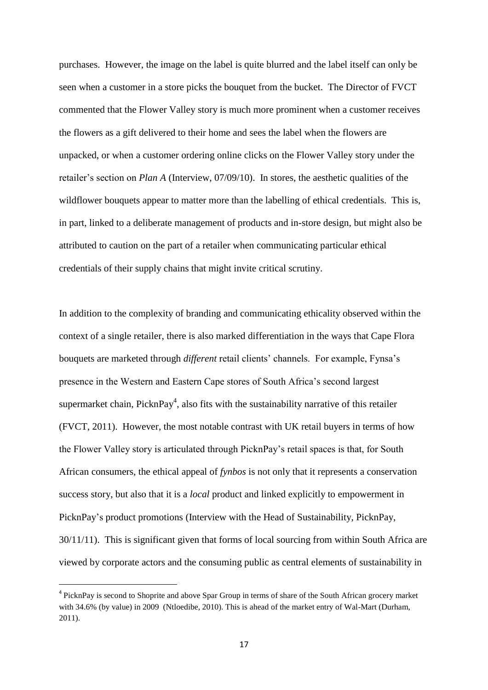purchases. However, the image on the label is quite blurred and the label itself can only be seen when a customer in a store picks the bouquet from the bucket. The Director of FVCT commented that the Flower Valley story is much more prominent when a customer receives the flowers as a gift delivered to their home and sees the label when the flowers are unpacked, or when a customer ordering online clicks on the Flower Valley story under the retailer's section on *Plan A* (Interview, 07/09/10). In stores, the aesthetic qualities of the wildflower bouquets appear to matter more than the labelling of ethical credentials. This is, in part, linked to a deliberate management of products and in-store design, but might also be attributed to caution on the part of a retailer when communicating particular ethical credentials of their supply chains that might invite critical scrutiny.

In addition to the complexity of branding and communicating ethicality observed within the context of a single retailer, there is also marked differentiation in the ways that Cape Flora bouquets are marketed through *different* retail clients' channels. For example, Fynsa's presence in the Western and Eastern Cape stores of South Africa's second largest supermarket chain, PicknPay<sup>4</sup>, also fits with the sustainability narrative of this retailer (FVCT, 2011). However, the most notable contrast with UK retail buyers in terms of how the Flower Valley story is articulated through PicknPay's retail spaces is that, for South African consumers, the ethical appeal of *fynbos* is not only that it represents a conservation success story, but also that it is a *local* product and linked explicitly to empowerment in PicknPay's product promotions (Interview with the Head of Sustainability, PicknPay, 30/11/11). This is significant given that forms of local sourcing from within South Africa are viewed by corporate actors and the consuming public as central elements of sustainability in

 $\overline{a}$ 

<sup>&</sup>lt;sup>4</sup> PicknPay is second to Shoprite and above Spar Group in terms of share of the South African grocery market with 34.6% (by value) in 2009 (Ntloedibe, 2010). This is ahead of the market entry of Wal-Mart (Durham, 2011).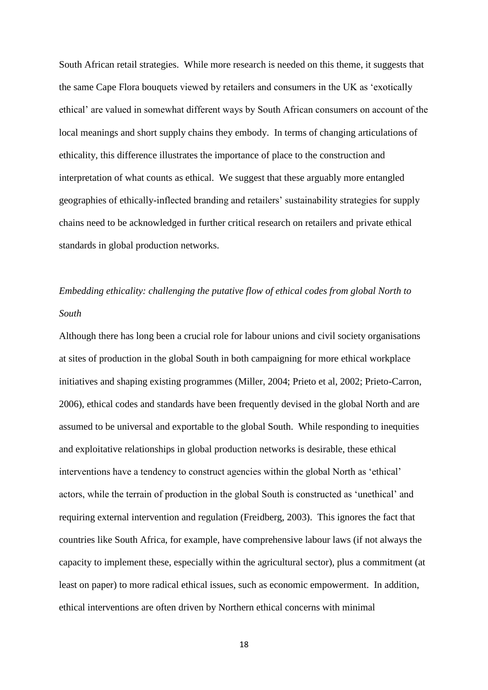South African retail strategies. While more research is needed on this theme, it suggests that the same Cape Flora bouquets viewed by retailers and consumers in the UK as 'exotically ethical' are valued in somewhat different ways by South African consumers on account of the local meanings and short supply chains they embody. In terms of changing articulations of ethicality, this difference illustrates the importance of place to the construction and interpretation of what counts as ethical. We suggest that these arguably more entangled geographies of ethically-inflected branding and retailers' sustainability strategies for supply chains need to be acknowledged in further critical research on retailers and private ethical standards in global production networks.

# *Embedding ethicality: challenging the putative flow of ethical codes from global North to South*

Although there has long been a crucial role for labour unions and civil society organisations at sites of production in the global South in both campaigning for more ethical workplace initiatives and shaping existing programmes (Miller, 2004; Prieto et al, 2002; Prieto-Carron, 2006), ethical codes and standards have been frequently devised in the global North and are assumed to be universal and exportable to the global South. While responding to inequities and exploitative relationships in global production networks is desirable, these ethical interventions have a tendency to construct agencies within the global North as 'ethical' actors, while the terrain of production in the global South is constructed as 'unethical' and requiring external intervention and regulation (Freidberg, 2003). This ignores the fact that countries like South Africa, for example, have comprehensive labour laws (if not always the capacity to implement these, especially within the agricultural sector), plus a commitment (at least on paper) to more radical ethical issues, such as economic empowerment. In addition, ethical interventions are often driven by Northern ethical concerns with minimal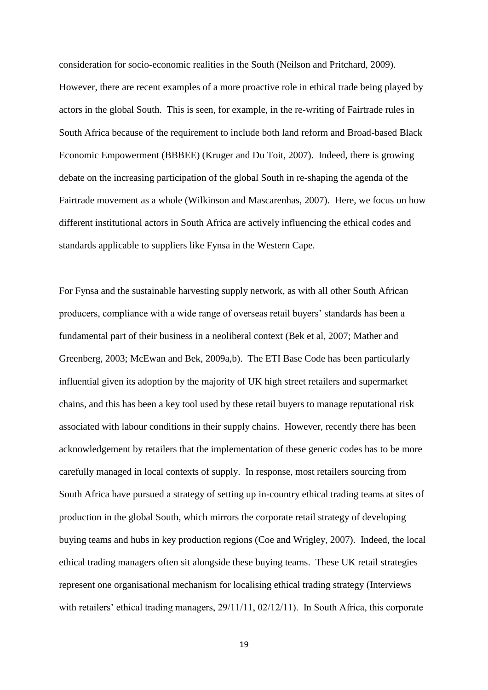consideration for socio-economic realities in the South (Neilson and Pritchard, 2009). However, there are recent examples of a more proactive role in ethical trade being played by actors in the global South. This is seen, for example, in the re-writing of Fairtrade rules in South Africa because of the requirement to include both land reform and Broad-based Black Economic Empowerment (BBBEE) (Kruger and Du Toit, 2007). Indeed, there is growing debate on the increasing participation of the global South in re-shaping the agenda of the Fairtrade movement as a whole (Wilkinson and Mascarenhas, 2007). Here, we focus on how different institutional actors in South Africa are actively influencing the ethical codes and standards applicable to suppliers like Fynsa in the Western Cape.

For Fynsa and the sustainable harvesting supply network, as with all other South African producers, compliance with a wide range of overseas retail buyers' standards has been a fundamental part of their business in a neoliberal context (Bek et al, 2007; Mather and Greenberg, 2003; McEwan and Bek, 2009a,b). The ETI Base Code has been particularly influential given its adoption by the majority of UK high street retailers and supermarket chains, and this has been a key tool used by these retail buyers to manage reputational risk associated with labour conditions in their supply chains. However, recently there has been acknowledgement by retailers that the implementation of these generic codes has to be more carefully managed in local contexts of supply. In response, most retailers sourcing from South Africa have pursued a strategy of setting up in-country ethical trading teams at sites of production in the global South, which mirrors the corporate retail strategy of developing buying teams and hubs in key production regions (Coe and Wrigley, 2007). Indeed, the local ethical trading managers often sit alongside these buying teams. These UK retail strategies represent one organisational mechanism for localising ethical trading strategy (Interviews with retailers' ethical trading managers,  $29/11/11$ ,  $02/12/11$ ). In South Africa, this corporate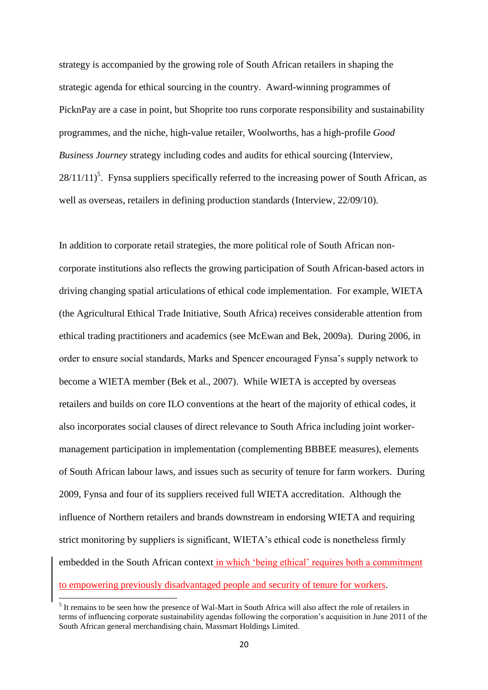strategy is accompanied by the growing role of South African retailers in shaping the strategic agenda for ethical sourcing in the country. Award-winning programmes of PicknPay are a case in point, but Shoprite too runs corporate responsibility and sustainability programmes, and the niche, high-value retailer, Woolworths, has a high-profile *Good Business Journey* strategy including codes and audits for ethical sourcing (Interview,  $28/11/11$ <sup>5</sup>. Fynsa suppliers specifically referred to the increasing power of South African, as well as overseas, retailers in defining production standards (Interview, 22/09/10).

In addition to corporate retail strategies, the more political role of South African noncorporate institutions also reflects the growing participation of South African-based actors in driving changing spatial articulations of ethical code implementation. For example, WIETA (the Agricultural Ethical Trade Initiative, South Africa) receives considerable attention from ethical trading practitioners and academics (see McEwan and Bek, 2009a). During 2006, in order to ensure social standards, Marks and Spencer encouraged Fynsa's supply network to become a WIETA member (Bek et al., 2007). While WIETA is accepted by overseas retailers and builds on core ILO conventions at the heart of the majority of ethical codes, it also incorporates social clauses of direct relevance to South Africa including joint workermanagement participation in implementation (complementing BBBEE measures), elements of South African labour laws, and issues such as security of tenure for farm workers. During 2009, Fynsa and four of its suppliers received full WIETA accreditation. Although the influence of Northern retailers and brands downstream in endorsing WIETA and requiring strict monitoring by suppliers is significant, WIETA's ethical code is nonetheless firmly embedded in the South African context in which 'being ethical' requires both a commitment to empowering previously disadvantaged people and security of tenure for workers.

<sup>&</sup>lt;sup>5</sup> It remains to be seen how the presence of Wal-Mart in South Africa will also affect the role of retailers in terms of influencing corporate sustainability agendas following the corporation's acquisition in June 2011 of the South African general merchandising chain, Massmart Holdings Limited.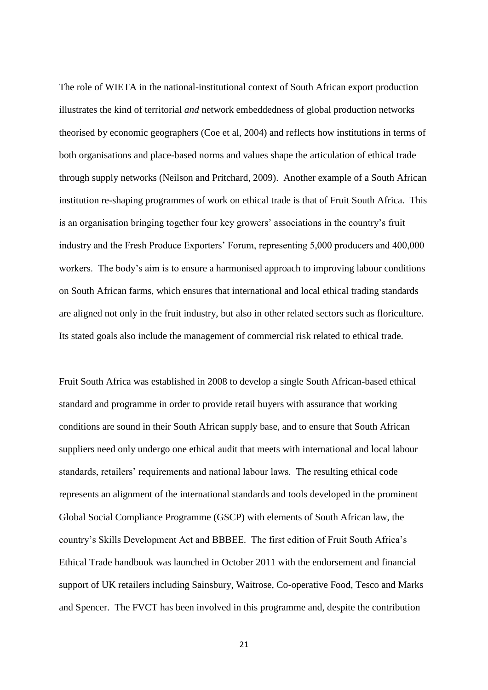The role of WIETA in the national-institutional context of South African export production illustrates the kind of territorial *and* network embeddedness of global production networks theorised by economic geographers (Coe et al, 2004) and reflects how institutions in terms of both organisations and place-based norms and values shape the articulation of ethical trade through supply networks (Neilson and Pritchard, 2009). Another example of a South African institution re-shaping programmes of work on ethical trade is that of Fruit South Africa. This is an organisation bringing together four key growers' associations in the country's fruit industry and the Fresh Produce Exporters' Forum, representing 5,000 producers and 400,000 workers. The body's aim is to ensure a harmonised approach to improving labour conditions on South African farms, which ensures that international and local ethical trading standards are aligned not only in the fruit industry, but also in other related sectors such as floriculture. Its stated goals also include the management of commercial risk related to ethical trade.

Fruit South Africa was established in 2008 to develop a single South African-based ethical standard and programme in order to provide retail buyers with assurance that working conditions are sound in their South African supply base, and to ensure that South African suppliers need only undergo one ethical audit that meets with international and local labour standards, retailers' requirements and national labour laws. The resulting ethical code represents an alignment of the international standards and tools developed in the prominent Global Social Compliance Programme (GSCP) with elements of South African law, the country's Skills Development Act and BBBEE. The first edition of Fruit South Africa's Ethical Trade handbook was launched in October 2011 with the endorsement and financial support of UK retailers including Sainsbury, Waitrose, Co-operative Food, Tesco and Marks and Spencer. The FVCT has been involved in this programme and, despite the contribution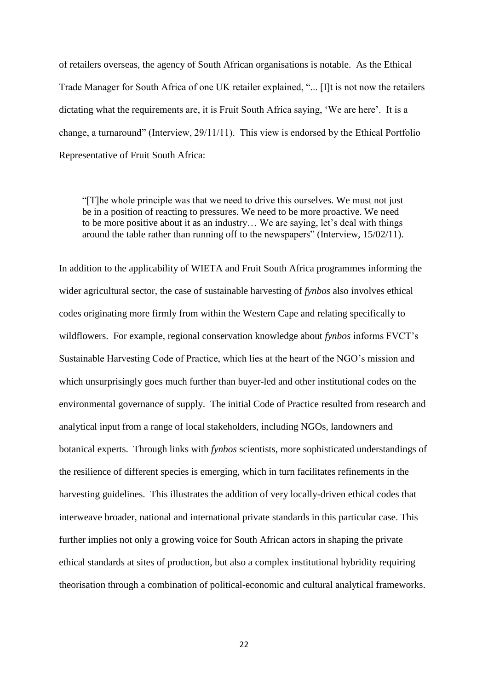of retailers overseas, the agency of South African organisations is notable. As the Ethical Trade Manager for South Africa of one UK retailer explained, "... [I]t is not now the retailers dictating what the requirements are, it is Fruit South Africa saying, 'We are here'. It is a change, a turnaround" (Interview, 29/11/11). This view is endorsed by the Ethical Portfolio Representative of Fruit South Africa:

"[T]he whole principle was that we need to drive this ourselves. We must not just be in a position of reacting to pressures. We need to be more proactive. We need to be more positive about it as an industry… We are saying, let's deal with things around the table rather than running off to the newspapers" (Interview, 15/02/11).

In addition to the applicability of WIETA and Fruit South Africa programmes informing the wider agricultural sector, the case of sustainable harvesting of *fynbos* also involves ethical codes originating more firmly from within the Western Cape and relating specifically to wildflowers. For example, regional conservation knowledge about *fynbos* informs FVCT's Sustainable Harvesting Code of Practice, which lies at the heart of the NGO's mission and which unsurprisingly goes much further than buyer-led and other institutional codes on the environmental governance of supply. The initial Code of Practice resulted from research and analytical input from a range of local stakeholders, including NGOs, landowners and botanical experts. Through links with *fynbos* scientists, more sophisticated understandings of the resilience of different species is emerging, which in turn facilitates refinements in the harvesting guidelines. This illustrates the addition of very locally-driven ethical codes that interweave broader, national and international private standards in this particular case. This further implies not only a growing voice for South African actors in shaping the private ethical standards at sites of production, but also a complex institutional hybridity requiring theorisation through a combination of political-economic and cultural analytical frameworks.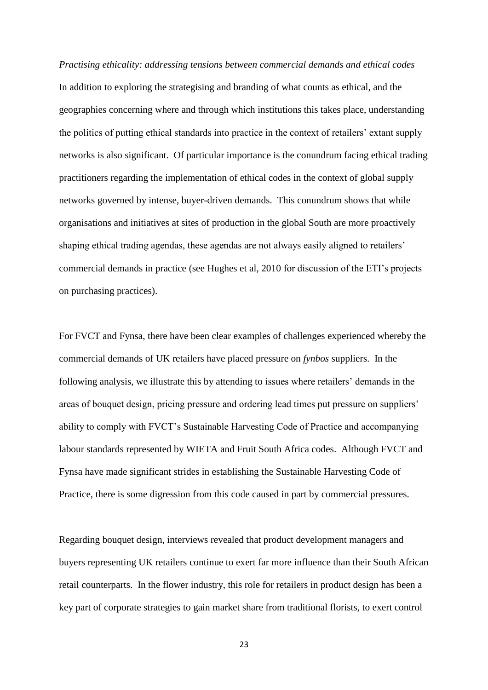*Practising ethicality: addressing tensions between commercial demands and ethical codes* In addition to exploring the strategising and branding of what counts as ethical, and the geographies concerning where and through which institutions this takes place, understanding the politics of putting ethical standards into practice in the context of retailers' extant supply networks is also significant. Of particular importance is the conundrum facing ethical trading practitioners regarding the implementation of ethical codes in the context of global supply networks governed by intense, buyer-driven demands. This conundrum shows that while organisations and initiatives at sites of production in the global South are more proactively shaping ethical trading agendas, these agendas are not always easily aligned to retailers' commercial demands in practice (see Hughes et al, 2010 for discussion of the ETI's projects on purchasing practices).

For FVCT and Fynsa, there have been clear examples of challenges experienced whereby the commercial demands of UK retailers have placed pressure on *fynbos* suppliers. In the following analysis, we illustrate this by attending to issues where retailers' demands in the areas of bouquet design, pricing pressure and ordering lead times put pressure on suppliers' ability to comply with FVCT's Sustainable Harvesting Code of Practice and accompanying labour standards represented by WIETA and Fruit South Africa codes. Although FVCT and Fynsa have made significant strides in establishing the Sustainable Harvesting Code of Practice, there is some digression from this code caused in part by commercial pressures.

Regarding bouquet design, interviews revealed that product development managers and buyers representing UK retailers continue to exert far more influence than their South African retail counterparts. In the flower industry, this role for retailers in product design has been a key part of corporate strategies to gain market share from traditional florists, to exert control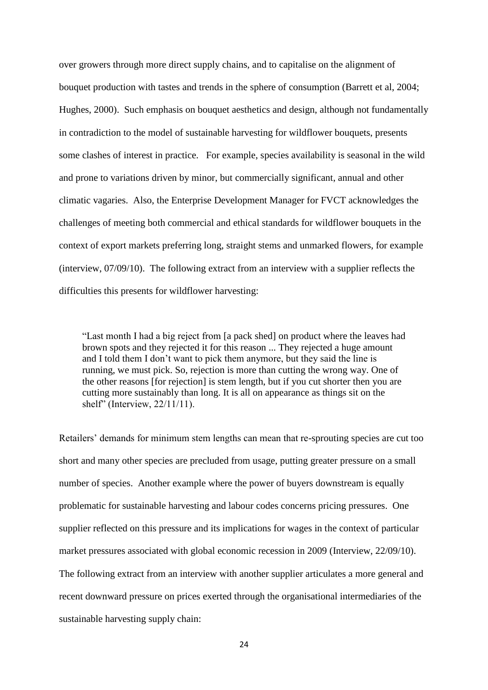over growers through more direct supply chains, and to capitalise on the alignment of bouquet production with tastes and trends in the sphere of consumption (Barrett et al, 2004; Hughes, 2000). Such emphasis on bouquet aesthetics and design, although not fundamentally in contradiction to the model of sustainable harvesting for wildflower bouquets, presents some clashes of interest in practice. For example, species availability is seasonal in the wild and prone to variations driven by minor, but commercially significant, annual and other climatic vagaries. Also, the Enterprise Development Manager for FVCT acknowledges the challenges of meeting both commercial and ethical standards for wildflower bouquets in the context of export markets preferring long, straight stems and unmarked flowers, for example (interview, 07/09/10). The following extract from an interview with a supplier reflects the difficulties this presents for wildflower harvesting:

"Last month I had a big reject from [a pack shed] on product where the leaves had brown spots and they rejected it for this reason ... They rejected a huge amount and I told them I don't want to pick them anymore, but they said the line is running, we must pick. So, rejection is more than cutting the wrong way. One of the other reasons [for rejection] is stem length, but if you cut shorter then you are cutting more sustainably than long. It is all on appearance as things sit on the shelf" (Interview, 22/11/11).

Retailers' demands for minimum stem lengths can mean that re-sprouting species are cut too short and many other species are precluded from usage, putting greater pressure on a small number of species. Another example where the power of buyers downstream is equally problematic for sustainable harvesting and labour codes concerns pricing pressures. One supplier reflected on this pressure and its implications for wages in the context of particular market pressures associated with global economic recession in 2009 (Interview, 22/09/10). The following extract from an interview with another supplier articulates a more general and recent downward pressure on prices exerted through the organisational intermediaries of the sustainable harvesting supply chain: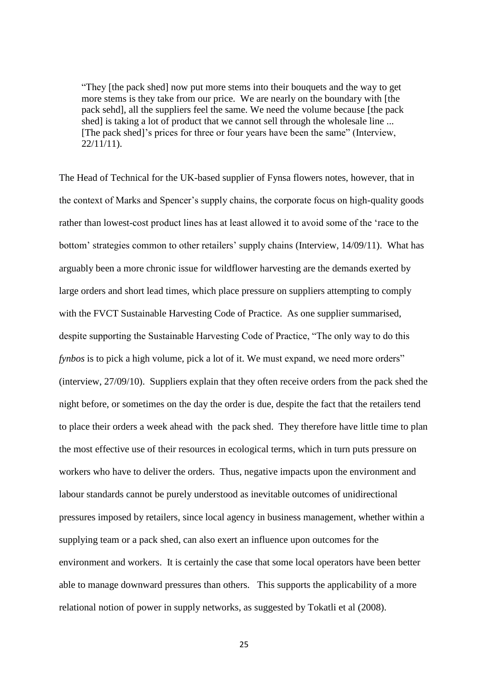"They [the pack shed] now put more stems into their bouquets and the way to get more stems is they take from our price. We are nearly on the boundary with [the pack sehd], all the suppliers feel the same. We need the volume because [the pack shed] is taking a lot of product that we cannot sell through the wholesale line ... [The pack shed]'s prices for three or four years have been the same" (Interview, 22/11/11).

The Head of Technical for the UK-based supplier of Fynsa flowers notes, however, that in the context of Marks and Spencer's supply chains, the corporate focus on high-quality goods rather than lowest-cost product lines has at least allowed it to avoid some of the 'race to the bottom' strategies common to other retailers' supply chains (Interview, 14/09/11). What has arguably been a more chronic issue for wildflower harvesting are the demands exerted by large orders and short lead times, which place pressure on suppliers attempting to comply with the FVCT Sustainable Harvesting Code of Practice. As one supplier summarised, despite supporting the Sustainable Harvesting Code of Practice, "The only way to do this *fynbos* is to pick a high volume, pick a lot of it. We must expand, we need more orders" (interview, 27/09/10). Suppliers explain that they often receive orders from the pack shed the night before, or sometimes on the day the order is due, despite the fact that the retailers tend to place their orders a week ahead with the pack shed. They therefore have little time to plan the most effective use of their resources in ecological terms, which in turn puts pressure on workers who have to deliver the orders. Thus, negative impacts upon the environment and labour standards cannot be purely understood as inevitable outcomes of unidirectional pressures imposed by retailers, since local agency in business management, whether within a supplying team or a pack shed, can also exert an influence upon outcomes for the environment and workers. It is certainly the case that some local operators have been better able to manage downward pressures than others. This supports the applicability of a more relational notion of power in supply networks, as suggested by Tokatli et al (2008).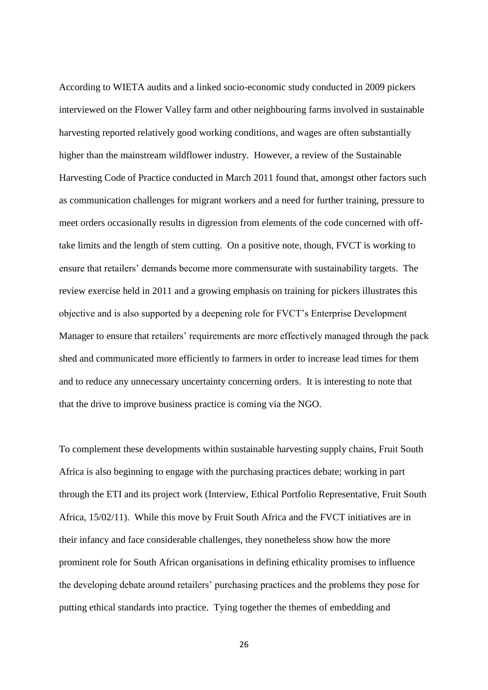According to WIETA audits and a linked socio-economic study conducted in 2009 pickers interviewed on the Flower Valley farm and other neighbouring farms involved in sustainable harvesting reported relatively good working conditions, and wages are often substantially higher than the mainstream wildflower industry. However, a review of the Sustainable Harvesting Code of Practice conducted in March 2011 found that, amongst other factors such as communication challenges for migrant workers and a need for further training, pressure to meet orders occasionally results in digression from elements of the code concerned with offtake limits and the length of stem cutting. On a positive note, though, FVCT is working to ensure that retailers' demands become more commensurate with sustainability targets. The review exercise held in 2011 and a growing emphasis on training for pickers illustrates this objective and is also supported by a deepening role for FVCT's Enterprise Development Manager to ensure that retailers' requirements are more effectively managed through the pack shed and communicated more efficiently to farmers in order to increase lead times for them and to reduce any unnecessary uncertainty concerning orders. It is interesting to note that that the drive to improve business practice is coming via the NGO.

To complement these developments within sustainable harvesting supply chains, Fruit South Africa is also beginning to engage with the purchasing practices debate; working in part through the ETI and its project work (Interview, Ethical Portfolio Representative, Fruit South Africa, 15/02/11). While this move by Fruit South Africa and the FVCT initiatives are in their infancy and face considerable challenges, they nonetheless show how the more prominent role for South African organisations in defining ethicality promises to influence the developing debate around retailers' purchasing practices and the problems they pose for putting ethical standards into practice. Tying together the themes of embedding and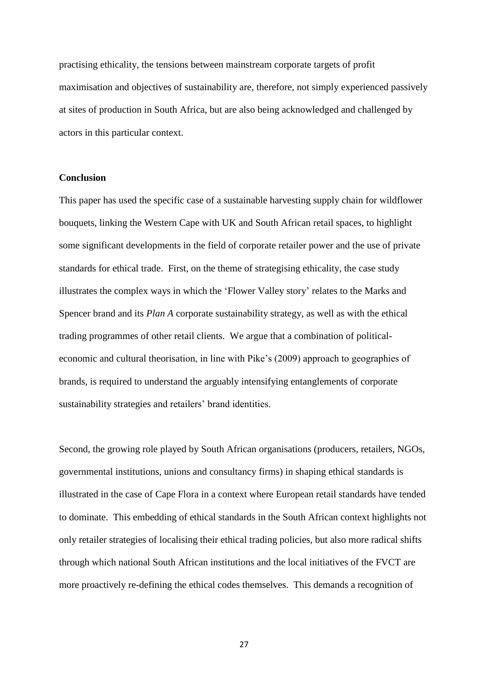practising ethicality, the tensions between mainstream corporate targets of profit maximisation and objectives of sustainability are, therefore, not simply experienced passively at sites of production in South Africa, but are also being acknowledged and challenged by actors in this particular context.

## **Conclusion**

This paper has used the specific case of a sustainable harvesting supply chain for wildflower bouquets, linking the Western Cape with UK and South African retail spaces, to highlight some significant developments in the field of corporate retailer power and the use of private standards for ethical trade. First, on the theme of strategising ethicality, the case study illustrates the complex ways in which the 'Flower Valley story' relates to the Marks and Spencer brand and its *Plan A* corporate sustainability strategy, as well as with the ethical trading programmes of other retail clients. We argue that a combination of politicaleconomic and cultural theorisation, in line with Pike's (2009) approach to geographies of brands, is required to understand the arguably intensifying entanglements of corporate sustainability strategies and retailers' brand identities.

Second, the growing role played by South African organisations (producers, retailers, NGOs, governmental institutions, unions and consultancy firms) in shaping ethical standards is illustrated in the case of Cape Flora in a context where European retail standards have tended to dominate. This embedding of ethical standards in the South African context highlights not only retailer strategies of localising their ethical trading policies, but also more radical shifts through which national South African institutions and the local initiatives of the FVCT are more proactively re-defining the ethical codes themselves. This demands a recognition of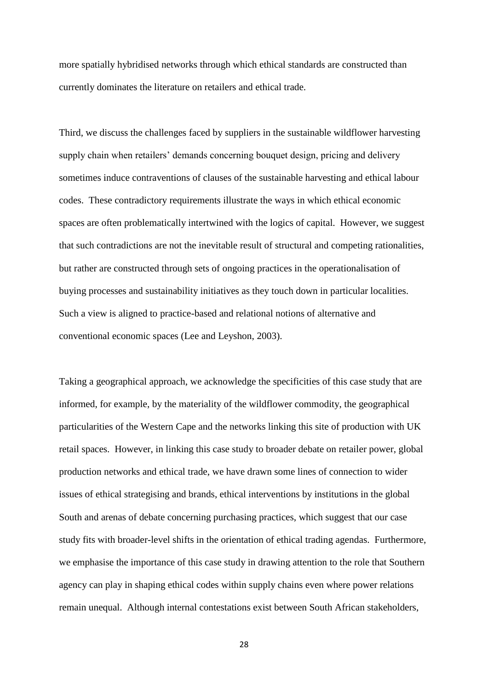more spatially hybridised networks through which ethical standards are constructed than currently dominates the literature on retailers and ethical trade.

Third, we discuss the challenges faced by suppliers in the sustainable wildflower harvesting supply chain when retailers' demands concerning bouquet design, pricing and delivery sometimes induce contraventions of clauses of the sustainable harvesting and ethical labour codes. These contradictory requirements illustrate the ways in which ethical economic spaces are often problematically intertwined with the logics of capital. However, we suggest that such contradictions are not the inevitable result of structural and competing rationalities, but rather are constructed through sets of ongoing practices in the operationalisation of buying processes and sustainability initiatives as they touch down in particular localities. Such a view is aligned to practice-based and relational notions of alternative and conventional economic spaces (Lee and Leyshon, 2003).

Taking a geographical approach, we acknowledge the specificities of this case study that are informed, for example, by the materiality of the wildflower commodity, the geographical particularities of the Western Cape and the networks linking this site of production with UK retail spaces. However, in linking this case study to broader debate on retailer power, global production networks and ethical trade, we have drawn some lines of connection to wider issues of ethical strategising and brands, ethical interventions by institutions in the global South and arenas of debate concerning purchasing practices, which suggest that our case study fits with broader-level shifts in the orientation of ethical trading agendas. Furthermore, we emphasise the importance of this case study in drawing attention to the role that Southern agency can play in shaping ethical codes within supply chains even where power relations remain unequal. Although internal contestations exist between South African stakeholders,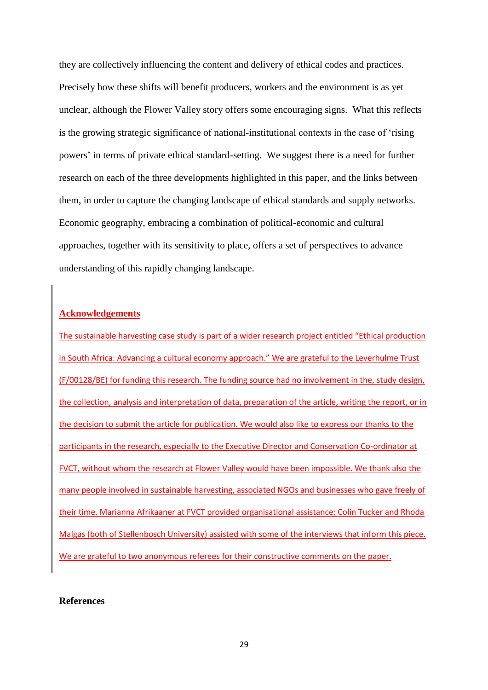they are collectively influencing the content and delivery of ethical codes and practices. Precisely how these shifts will benefit producers, workers and the environment is as yet unclear, although the Flower Valley story offers some encouraging signs. What this reflects is the growing strategic significance of national-institutional contexts in the case of 'rising powers' in terms of private ethical standard-setting. We suggest there is a need for further research on each of the three developments highlighted in this paper, and the links between them, in order to capture the changing landscape of ethical standards and supply networks. Economic geography, embracing a combination of political-economic and cultural approaches, together with its sensitivity to place, offers a set of perspectives to advance understanding of this rapidly changing landscape.

### **Acknowledgements**

The sustainable harvesting case study is part of a wider research project entitled "Ethical production in South Africa: Advancing a cultural economy approach." We are grateful to the Leverhulme Trust (F/00128/BE) for funding this research. The funding source had no involvement in the, study design, the collection, analysis and interpretation of data, preparation of the article, writing the report, or in the decision to submit the article for publication. We would also like to express our thanks to the participants in the research, especially to the Executive Director and Conservation Co-ordinator at FVCT, without whom the research at Flower Valley would have been impossible. We thank also the many people involved in sustainable harvesting, associated NGOs and businesses who gave freely of their time. Marianna Afrikaaner at FVCT provided organisational assistance; Colin Tucker and Rhoda Malgas (both of Stellenbosch University) assisted with some of the interviews that inform this piece. We are grateful to two anonymous referees for their constructive comments on the paper.

#### **References**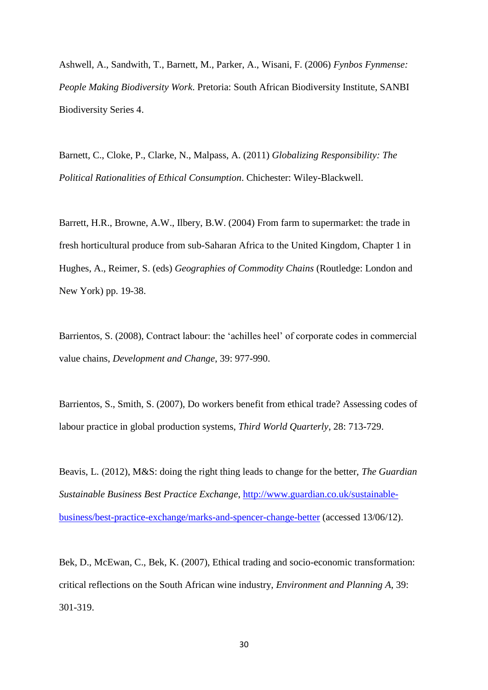Ashwell, A., Sandwith, T., Barnett, M., Parker, A., Wisani, F. (2006) *Fynbos Fynmense: People Making Biodiversity Work*. Pretoria: South African Biodiversity Institute, SANBI Biodiversity Series 4.

Barnett, C., Cloke, P., Clarke, N., Malpass, A. (2011) *Globalizing Responsibility: The Political Rationalities of Ethical Consumption*. Chichester: Wiley-Blackwell.

Barrett, H.R., Browne, A.W., Ilbery, B.W. (2004) From farm to supermarket: the trade in fresh horticultural produce from sub-Saharan Africa to the United Kingdom, Chapter 1 in Hughes, A., Reimer, S. (eds) *Geographies of Commodity Chains* (Routledge: London and New York) pp. 19-38.

Barrientos, S. (2008), Contract labour: the 'achilles heel' of corporate codes in commercial value chains, *Development and Change*, 39: 977-990.

Barrientos, S., Smith, S. (2007), Do workers benefit from ethical trade? Assessing codes of labour practice in global production systems, *Third World Quarterly*, 28: 713-729.

Beavis, L. (2012), M&S: doing the right thing leads to change for the better, *The Guardian Sustainable Business Best Practice Exchange*, [http://www.guardian.co.uk/sustainable](http://www.guardian.co.uk/sustainable-business/best-practice-exchange/marks-and-spencer-change-better)[business/best-practice-exchange/marks-and-spencer-change-better](http://www.guardian.co.uk/sustainable-business/best-practice-exchange/marks-and-spencer-change-better) (accessed 13/06/12).

Bek, D., McEwan, C., Bek, K. (2007), Ethical trading and socio-economic transformation: critical reflections on the South African wine industry, *Environment and Planning A*, 39: 301-319.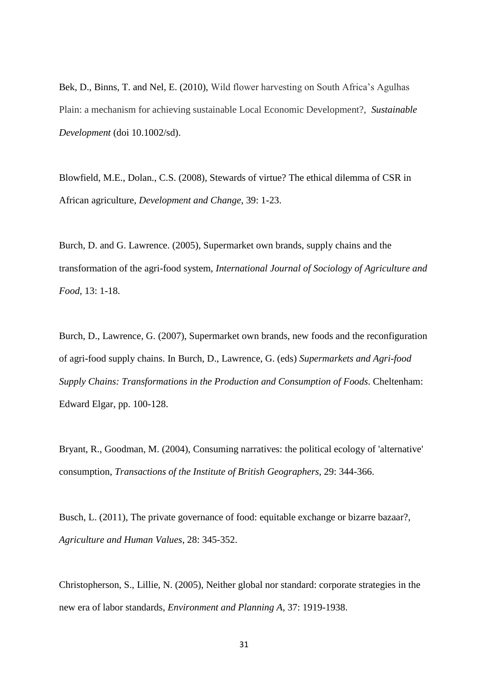Bek, D., Binns, T. and Nel, E. (2010), Wild flower harvesting on South Africa's Agulhas Plain: a mechanism for achieving sustainable Local Economic Development?, *Sustainable Development* (doi 10.1002/sd).

Blowfield, M.E., Dolan., C.S. (2008), Stewards of virtue? The ethical dilemma of CSR in African agriculture, *Development and Change*, 39: 1-23.

Burch, D. and G. Lawrence. (2005), Supermarket own brands, supply chains and the transformation of the agri-food system, *International Journal of Sociology of Agriculture and Food*, 13: 1-18.

Burch, D., Lawrence, G. (2007), Supermarket own brands, new foods and the reconfiguration of agri-food supply chains. In Burch, D., Lawrence, G. (eds) *Supermarkets and Agri-food Supply Chains: Transformations in the Production and Consumption of Foods*. Cheltenham: Edward Elgar, pp. 100-128.

Bryant, R., Goodman, M. (2004), [Consuming narratives: the political ecology of 'alternative'](http://onlinelibrary.wiley.com/doi/10.1111/j.0020-2754.2004.00333.x/abstract;jsessionid=C84A3B8769B878DC945EDDFF8FCC5FBD.d01t03)  [consumption,](http://onlinelibrary.wiley.com/doi/10.1111/j.0020-2754.2004.00333.x/abstract;jsessionid=C84A3B8769B878DC945EDDFF8FCC5FBD.d01t03) *Transactions of the Institute of British Geographers*, 29: 344-366.

Busch, L. (2011), The private governance of food: equitable exchange or bizarre bazaar?, *Agriculture and Human Values*, 28: 345-352.

Christopherson, S., Lillie, N. (2005), Neither global nor standard: corporate strategies in the new era of labor standards, *Environment and Planning A*, 37: 1919-1938.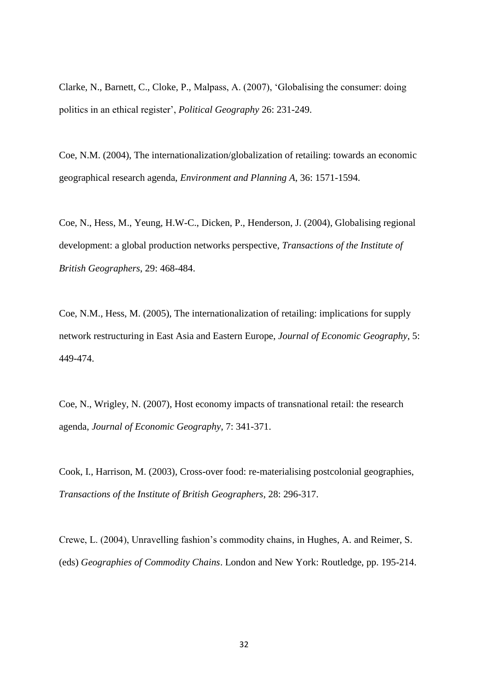Clarke, N., Barnett, C., Cloke, P., Malpass, A. (2007), 'Globalising the consumer: doing politics in an ethical register', *Political Geography* 26: 231-249.

Coe, N.M. (2004), The internationalization/globalization of retailing: towards an economic geographical research agenda, *Environment and Planning A*, 36: 1571-1594.

Coe, N., Hess, M., Yeung, H.W-C., Dicken, P., Henderson, J. (2004), Globalising regional development: a global production networks perspective, *Transactions of the Institute of British Geographers*, 29: 468-484.

Coe, N.M., Hess, M. (2005), The internationalization of retailing: implications for supply network restructuring in East Asia and Eastern Europe, *Journal of Economic Geography*, 5: 449-474.

Coe, N., Wrigley, N. (2007), Host economy impacts of transnational retail: the research agenda, *Journal of Economic Geography*, 7: 341-371.

Cook, I., Harrison, M. (2003), Cross-over food: re-materialising postcolonial geographies, *Transactions of the Institute of British Geographers*, 28: 296-317.

Crewe, L. (2004), Unravelling fashion's commodity chains, in Hughes, A. and Reimer, S. (eds) *Geographies of Commodity Chains*. London and New York: Routledge, pp. 195-214.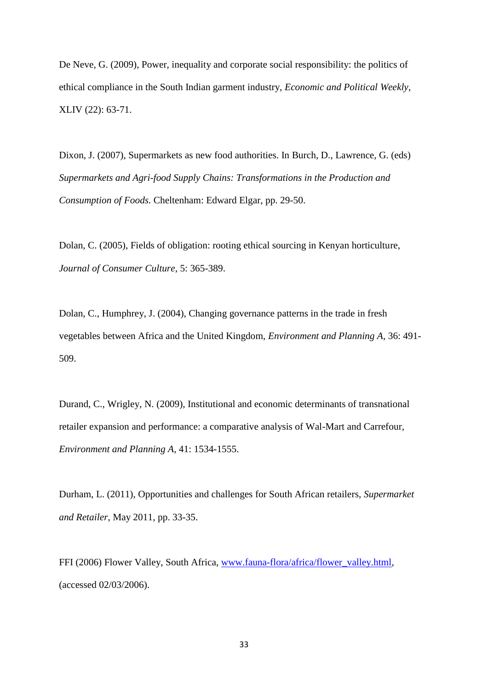De Neve, G. (2009), Power, inequality and corporate social responsibility: the politics of ethical compliance in the South Indian garment industry, *Economic and Political Weekly*, XLIV (22): 63-71.

Dixon, J. (2007), Supermarkets as new food authorities. In Burch, D., Lawrence, G. (eds) *Supermarkets and Agri-food Supply Chains: Transformations in the Production and Consumption of Foods.* Cheltenham: Edward Elgar, pp. 29-50.

Dolan, C. (2005), Fields of obligation: rooting ethical sourcing in Kenyan horticulture, *Journal of Consumer Culture*, 5: 365-389.

Dolan, C., Humphrey, J. (2004), Changing governance patterns in the trade in fresh vegetables between Africa and the United Kingdom, *Environment and Planning A*, 36: 491- 509.

Durand, C., Wrigley, N. (2009), [Institutional and economic determinants of transnational](http://eprints.soton.ac.uk/66334/)  [retailer expansion and performance: a comparative analysis of Wal-Mart and Carrefour,](http://eprints.soton.ac.uk/66334/) *Environment and Planning A*, 41: 1534-1555.

Durham, L. (2011), Opportunities and challenges for South African retailers, *Supermarket and Retailer*, May 2011, pp. 33-35.

FFI (2006) Flower Valley, South Africa, [www.fauna-flora/africa/flower\\_valley.html,](http://www.fauna-flora/africa/flower_valley.html) (accessed 02/03/2006).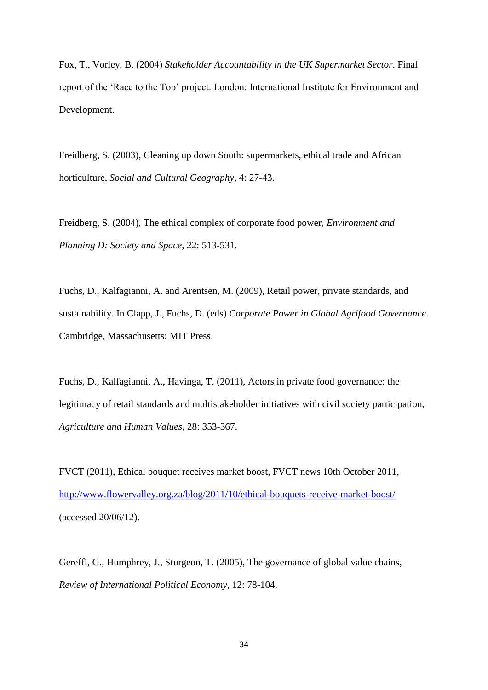Fox, T., Vorley, B. (2004) *Stakeholder Accountability in the UK Supermarket Sector*. Final report of the 'Race to the Top' project. London: International Institute for Environment and Development.

Freidberg, S. (2003), Cleaning up down South: supermarkets, ethical trade and African horticulture, *Social and Cultural Geography*, 4: 27-43.

Freidberg, S. (2004), The ethical complex of corporate food power, *Environment and Planning D: Society and Space*, 22: 513-531.

Fuchs, D., Kalfagianni, A. and Arentsen, M. (2009), Retail power, private standards, and sustainability. In Clapp, J., Fuchs, D. (eds) *Corporate Power in Global Agrifood Governance.*  Cambridge, Massachusetts: MIT Press.

Fuchs, D., Kalfagianni, A., Havinga, T. (2011), Actors in private food governance: the legitimacy of retail standards and multistakeholder initiatives with civil society participation, *Agriculture and Human Values*, 28: 353-367.

FVCT (2011), Ethical bouquet receives market boost, FVCT news 10th October 2011, <http://www.flowervalley.org.za/blog/2011/10/ethical-bouquets-receive-market-boost/> (accessed 20/06/12).

Gereffi, G., Humphrey, J., Sturgeon, T. (2005), The governance of global value chains, *Review of International Political Economy*, 12: 78-104.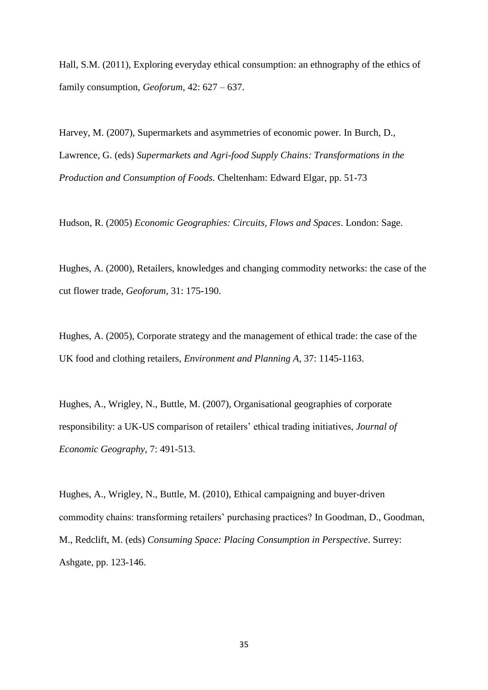Hall, S.M. (2011), Exploring everyday ethical consumption: an ethnography of the ethics of family consumption, *Geoforum*, 42: 627 – 637.

Harvey, M. (2007), Supermarkets and asymmetries of economic power. In Burch, D., Lawrence, G. (eds) *Supermarkets and Agri-food Supply Chains: Transformations in the Production and Consumption of Foods.* Cheltenham: Edward Elgar, pp. 51-73

Hudson, R. (2005) *Economic Geographies: Circuits, Flows and Spaces*. London: Sage.

Hughes, A. (2000), Retailers, knowledges and changing commodity networks: the case of the cut flower trade, *Geoforum*, 31: 175-190.

Hughes, A. (2005), Corporate strategy and the management of ethical trade: the case of the UK food and clothing retailers, *Environment and Planning A*, 37: 1145-1163.

Hughes, A., Wrigley, N., Buttle, M. (2007), Organisational geographies of corporate responsibility: a UK-US comparison of retailers' ethical trading initiatives, *Journal of Economic Geography*, 7: 491-513.

Hughes, A., Wrigley, N., Buttle, M. (2010), [Ethical campaigning and buyer-driven](http://www.ncl.ac.uk/gps/research/publication/3114)  [commodity chains: transforming retailers' purchasing practices?](http://www.ncl.ac.uk/gps/research/publication/3114) In Goodman, D., Goodman, M., Redclift, M. (eds) *Consuming Space: Placing Consumption in Perspective*. Surrey: Ashgate, pp. 123-146.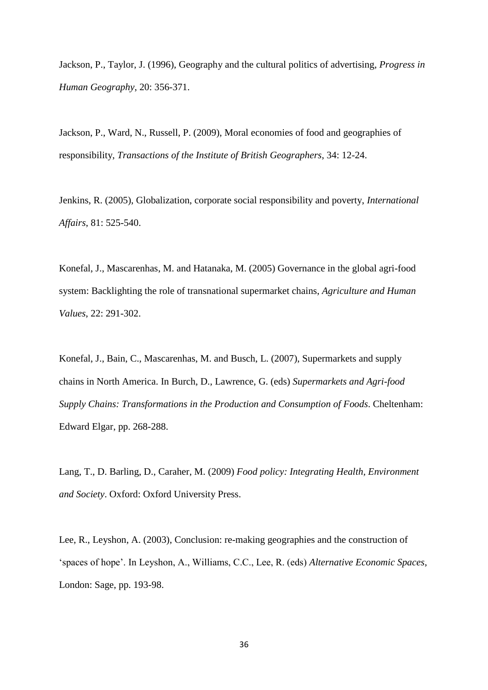Jackson, P., Taylor, J. (1996), Geography and the cultural politics of advertising, *Progress in Human Geography*, 20: 356-371.

Jackson, P., Ward, N., Russell, P. (2009), Moral economies of food and geographies of responsibility, *Transactions of the Institute of British Geographers*, 34: 12-24.

Jenkins, R. (2005), Globalization, corporate social responsibility and poverty, *International Affairs*, 81: 525-540.

Konefal, J., Mascarenhas, M. and Hatanaka, M. (2005) Governance in the global agri-food system: Backlighting the role of transnational supermarket chains, *Agriculture and Human Values*, 22: 291-302.

Konefal, J., Bain, C., Mascarenhas, M. and Busch, L. (2007), Supermarkets and supply chains in North America. In Burch, D., Lawrence, G. (eds) *Supermarkets and Agri-food Supply Chains: Transformations in the Production and Consumption of Foods*. Cheltenham: Edward Elgar, pp. 268-288.

Lang, T., D. Barling, D., Caraher, M. (2009) *Food policy: Integrating Health, Environment and Society*. Oxford: Oxford University Press.

Lee, R., Leyshon, A. (2003), Conclusion: re-making geographies and the construction of 'spaces of hope'. In Leyshon, A., Williams, C.C., Lee, R. (eds) *Alternative Economic Spaces*, London: Sage, pp. 193-98.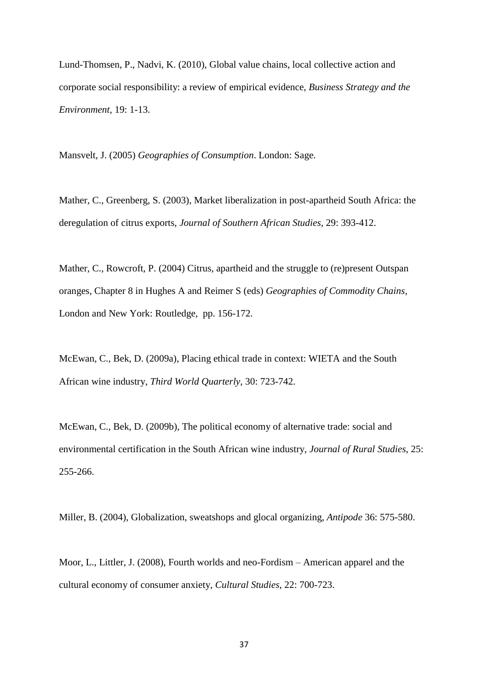Lund-Thomsen, P., Nadvi, K. (2010), Global value chains, local collective action and corporate social responsibility: a review of empirical evidence, *Business Strategy and the Environment*, 19: 1-13.

Mansvelt, J. (2005) *Geographies of Consumption*. London: Sage.

Mather, C., Greenberg, S. (2003), Market liberalization in post-apartheid South Africa: the deregulation of citrus exports, *Journal of Southern African Studies*, 29: 393-412.

Mather, C., Rowcroft, P. (2004) Citrus, apartheid and the struggle to (re)present Outspan oranges, Chapter 8 in Hughes A and Reimer S (eds) *Geographies of Commodity Chains*, London and New York: Routledge, pp. 156-172.

McEwan, C., Bek, D. (2009a), Placing ethical trade in context: WIETA and the South African wine industry, *Third World Quarterly*, 30: 723-742.

McEwan, C., Bek, D. (2009b), The political economy of alternative trade: social and environmental certification in the South African wine industry, *Journal of Rural Studies*, 25: 255-266.

Miller, B. (2004), Globalization, sweatshops and glocal organizing, *Antipode* 36: 575-580.

Moor, L., Littler, J. (2008), Fourth worlds and neo-Fordism – American apparel and the cultural economy of consumer anxiety, *Cultural Studies*, 22: 700-723.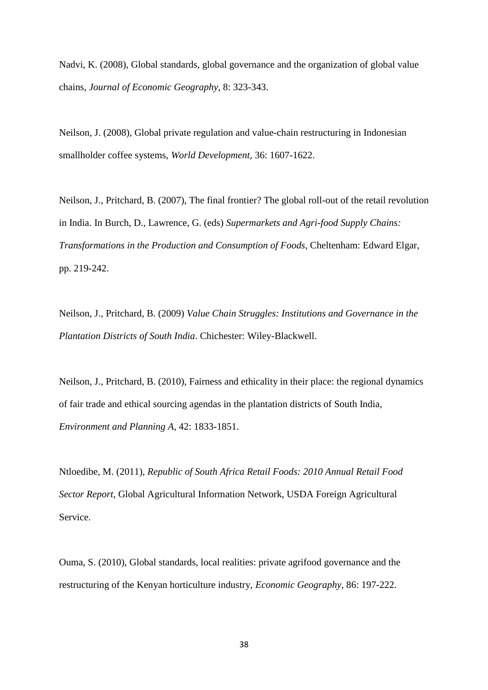Nadvi, K. (2008), Global standards, global governance and the organization of global value chains, *Journal of Economic Geography*, 8: 323-343.

Neilson, J. (2008), Global private regulation and value-chain restructuring in Indonesian smallholder coffee systems, *World Development*, 36: 1607-1622.

Neilson, J., Pritchard, B. (2007), The final frontier? The global roll-out of the retail revolution in India. In Burch, D., Lawrence, G. (eds) *Supermarkets and Agri-food Supply Chains: Transformations in the Production and Consumption of Foods,* Cheltenham: Edward Elgar, pp. 219-242.

Neilson, J., Pritchard, B. (2009) *Value Chain Struggles: Institutions and Governance in the Plantation Districts of South India*. Chichester: Wiley-Blackwell.

Neilson, J., Pritchard, B. (2010), Fairness and ethicality in their place: the regional dynamics of fair trade and ethical sourcing agendas in the plantation districts of South India, *Environment and Planning A*, 42: 1833-1851.

Ntloedibe, M. (2011), *Republic of South Africa Retail Foods: 2010 Annual Retail Food Sector Report*, Global Agricultural Information Network, USDA Foreign Agricultural Service.

Ouma, S. (2010), Global standards, local realities: private agrifood governance and the restructuring of the Kenyan horticulture industry, *Economic Geography*, 86: 197-222.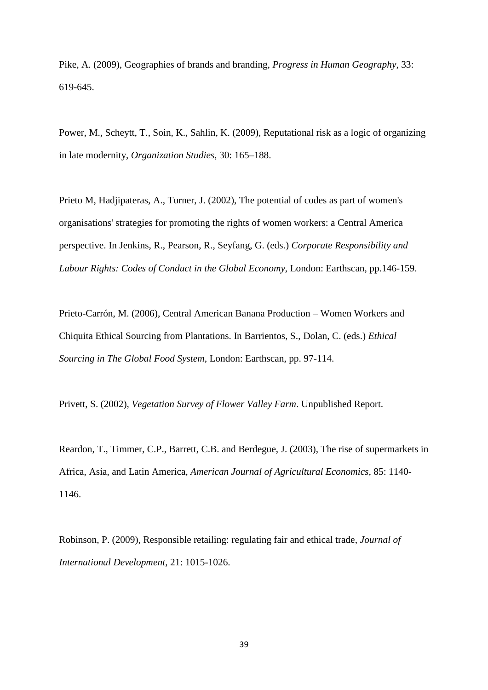Pike, A. (2009), Geographies of brands and branding, *Progress in Human Geography*, 33: 619-645.

Power, M., Scheytt, T., Soin, K., Sahlin, K. (2009), Reputational risk as a logic of organizing in late modernity, *Organization Studies*, 30: 165–188.

Prieto M, Hadjipateras, A., Turner, J. (2002), The potential of codes as part of women's organisations' strategies for promoting the rights of women workers: a Central America perspective. In Jenkins, R., Pearson, R., Seyfang, G. (eds.) *Corporate Responsibility and Labour Rights: Codes of Conduct in the Global Economy*, London: Earthscan, pp.146-159.

Prieto-Carrón, M. (2006), Central American Banana Production – Women Workers and Chiquita Ethical Sourcing from Plantations. In Barrientos, S., Dolan, C. (eds.) *Ethical Sourcing in The Global Food System*, London: Earthscan, pp. 97-114.

Privett, S. (2002), *Vegetation Survey of Flower Valley Farm*. Unpublished Report.

Reardon, T., Timmer, C.P., Barrett, C.B. and Berdegue, J. (2003), The rise of supermarkets in Africa, Asia, and Latin America, *American Journal of Agricultural Economics*, 85: 1140- 1146.

Robinson, P. (2009), Responsible retailing: regulating fair and ethical trade, *Journal of International Development*, 21: 1015-1026.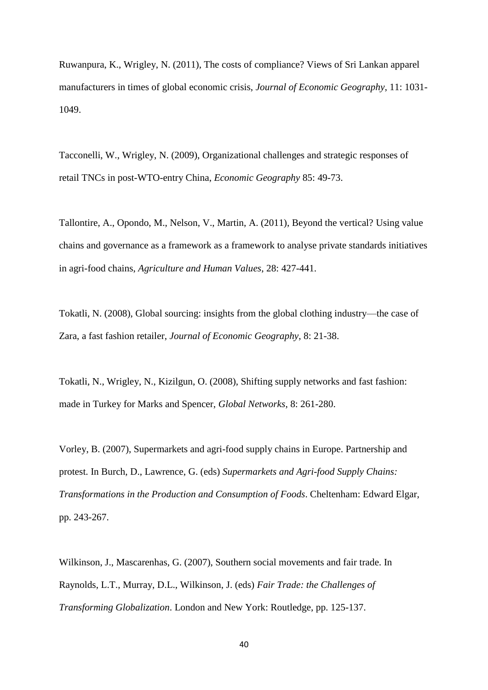Ruwanpura, K., Wrigley, N. (2011), The costs of compliance? Views of Sri Lankan apparel manufacturers in times of global economic crisis, *Journal of Economic Geography*, 11: 1031- 1049.

Tacconelli, W., Wrigley, N. (2009), [Organizational challenges and strategic responses of](http://eprints.soton.ac.uk/64881/)  [retail TNCs in post-WTO-entry China,](http://eprints.soton.ac.uk/64881/) *Economic Geography* 85: 49-73.

Tallontire, A., Opondo, M., Nelson, V., Martin, A. (2011), Beyond the vertical? Using value chains and governance as a framework as a framework to analyse private standards initiatives in agri-food chains, *Agriculture and Human Values*, 28: 427-441.

Tokatli, N. (2008), Global sourcing: insights from the global clothing industry—the case of Zara, a fast fashion retailer, *Journal of Economic Geography*, 8: 21-38.

Tokatli, N., Wrigley, N., Kizilgun, O. (2008), Shifting supply networks and fast fashion: made in Turkey for Marks and Spencer, *Global Networks*, 8: 261-280.

Vorley, B. (2007), Supermarkets and agri-food supply chains in Europe. Partnership and protest. In Burch, D., Lawrence, G. (eds) *Supermarkets and Agri-food Supply Chains: Transformations in the Production and Consumption of Foods*. Cheltenham: Edward Elgar, pp. 243-267.

Wilkinson, J., Mascarenhas, G. (2007), Southern social movements and fair trade. In Raynolds, L.T., Murray, D.L., Wilkinson, J. (eds) *Fair Trade: the Challenges of Transforming Globalization*. London and New York: Routledge, pp. 125-137.